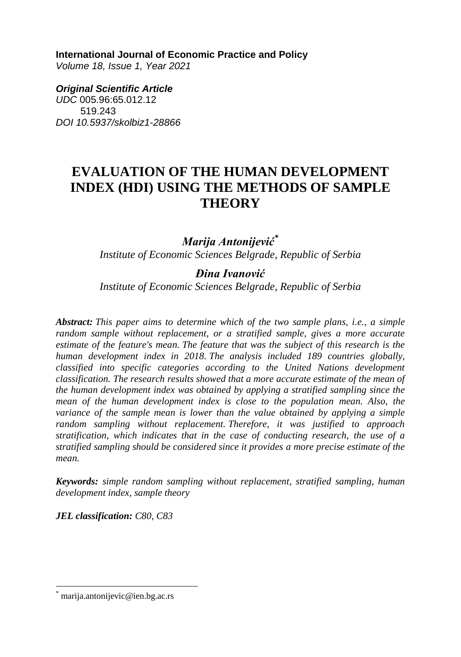**International Journal of Economic Practice and Policy** 

*Volume 18, Issue 1, Year 2021* 

*Original Scientific Article UDC* 005.96:65.012.12 519.243 *DOI 10.5937/skolbiz1-28866*

# **EVALUATION OF THE HUMAN DEVELOPMENT INDEX (HDI) USING THE METHODS OF SAMPLE THEORY**

*Marija Antonijević\* Institute of Economic Sciences Belgrade, Republic of Serbia*

*Đina Ivanović Institute of Economic Sciences Belgrade, Republic of Serbia*

*Abstract: This paper aims to determine which of the two sample plans, i.e., a simple random sample without replacement, or a stratified sample, gives a more accurate estimate of the feature's mean. The feature that was the subject of this research is the human development index in 2018. The analysis included 189 countries globally, classified into specific categories according to the United Nations development classification. The research results showed that a more accurate estimate of the mean of the human development index was obtained by applying a stratified sampling since the mean of the human development index is close to the population mean. Also, the variance of the sample mean is lower than the value obtained by applying a simple random sampling without replacement. Therefore, it was justified to approach stratification, which indicates that in the case of conducting research, the use of a stratified sampling should be considered since it provides a more precise estimate of the mean.*

*Keywords: simple random sampling without replacement, stratified sampling, human development index, sample theory*

*JEL classification: C80, C83* 

 $\overline{\phantom{a}}$ 

marija.antonijevic@ien.bg.ac.rs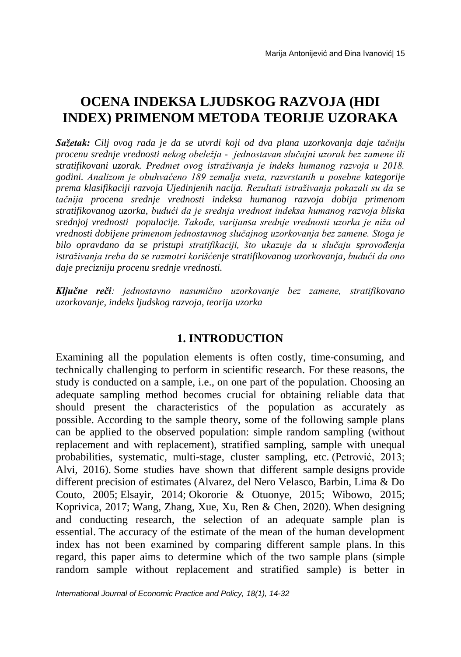# **OCENA INDEKSA LJUDSKOG RAZVOJA (HDI INDEX) PRIMENOM METODA TEORIJE UZORAKA**

*Sažetak: Cilj ovog rada je da se utvrdi koji od dva plana uzorkovanja daje tačniju procenu srednje vrednosti nekog obeležja - jednostavan slučajni uzorak bez zamene ili stratifikovani uzorak. Predmet ovog istraživanja je indeks humanog razvoja u 2018. godini. Analizom je obuhvaćeno 189 zemalja sveta, razvrstanih u posebne kategorije prema klasifikaciji razvoja Ujedinjenih nacija. Rezultati istraživanja pokazali su da se tačnija procena srednje vrednosti indeksa humanog razvoja dobija primenom stratifikovanog uzorka, budući da je srednja vrednost indeksa humanog razvoja bliska srednjoj vrednosti populacije. Takođe, varijansa srednje vrednosti uzorka je niža od vrednosti dobijene primenom jednostavnog slučajnog uzorkovanja bez zamene. Stoga je bilo opravdano da se pristupi stratifikaciji, što ukazuje da u slučaju sprovođenja istraživanja treba da se razmotri korišćenje stratifikovanog uzorkovanja, budući da ono daje precizniju procenu srednje vrednosti.*

*Ključne reči: jednostavno nasumično uzorkovanje bez zamene, stratifikovano uzorkovanje, indeks ljudskog razvoja, teorija uzorka*

# **1. INTRODUCTION**

Examining all the population elements is often costly, time-consuming, and technically challenging to perform in scientific research. For these reasons, the study is conducted on a sample, i.e., on one part of the population. Choosing an adequate sampling method becomes crucial for obtaining reliable data that should present the characteristics of the population as accurately as possible. According to the sample theory, some of the following sample plans can be applied to the observed population: simple random sampling (without replacement and with replacement), stratified sampling, sample with unequal probabilities, systematic, multi-stage, cluster sampling, etc. (Petrović, 2013; Alvi, 2016). Some studies have shown that different sample designs provide different precision of estimates (Alvarez, del Nero Velasco, Barbin, Lima & Do Couto, 2005; Elsayir, 2014; Okororie & Otuonye, 2015; Wibowo, 2015; Koprivica, 2017; Wang, Zhang, Xue, Xu, Ren & Chen, 2020). When designing and conducting research, the selection of an adequate sample plan is essential. The accuracy of the estimate of the mean of the human development index has not been examined by comparing different sample plans. In this regard, this paper aims to determine which of the two sample plans (simple random sample without replacement and stratified sample) is better in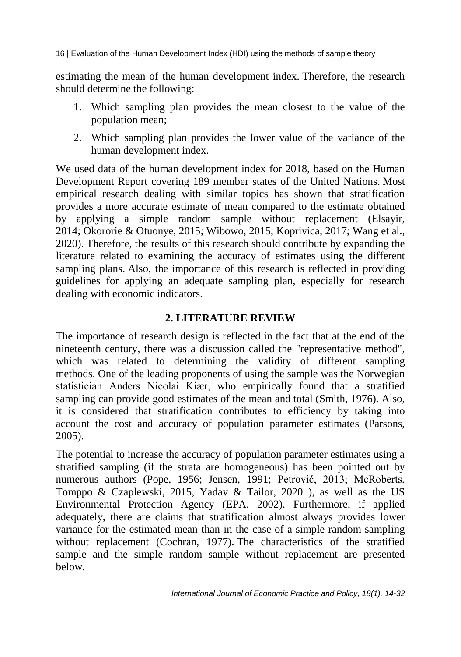estimating the mean of the human development index. Therefore, the research should determine the following:

- 1. Which sampling plan provides the mean closest to the value of the population mean;
- 2. Which sampling plan provides the lower value of the variance of the human development index.

We used data of the human development index for 2018, based on the Human Development Report covering 189 member states of the United Nations. Most empirical research dealing with similar topics has shown that stratification provides a more accurate estimate of mean compared to the estimate obtained by applying a simple random sample without replacement (Elsayir, 2014; Okororie & Otuonye, 2015; Wibowo, 2015; Koprivica, 2017; Wang et al., 2020). Therefore, the results of this research should contribute by expanding the literature related to examining the accuracy of estimates using the different sampling plans. Also, the importance of this research is reflected in providing guidelines for applying an adequate sampling plan, especially for research dealing with economic indicators.

# **2. LITERATURE REVIEW**

The importance of research design is reflected in the fact that at the end of the nineteenth century, there was a discussion called the "representative method", which was related to determining the validity of different sampling methods. One of the leading proponents of using the sample was the Norwegian statistician Anders Nicolai Kiær, who empirically found that a stratified sampling can provide good estimates of the mean and total (Smith, 1976). Also, it is considered that stratification contributes to efficiency by taking into account the cost and accuracy of population parameter estimates (Parsons, 2005).

The potential to increase the accuracy of population parameter estimates using a stratified sampling (if the strata are homogeneous) has been pointed out by numerous authors (Pope, 1956; Jensen, 1991; Petrović, 2013; McRoberts, Tomppo & Czaplewski, 2015, Yadav & Tailor, 2020 ), as well as the US Environmental Protection Agency (EPA, 2002). Furthermore, if applied adequately, there are claims that stratification almost always provides lower variance for the estimated mean than in the case of a simple random sampling without replacement (Cochran, 1977). The characteristics of the stratified sample and the simple random sample without replacement are presented below.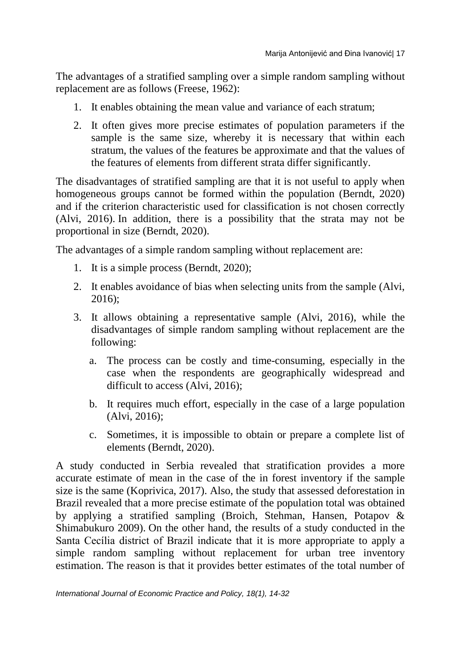The advantages of a stratified sampling over a simple random sampling without replacement are as follows (Freese, 1962):

- 1. It enables obtaining the mean value and variance of each stratum;
- 2. It often gives more precise estimates of population parameters if the sample is the same size, whereby it is necessary that within each stratum, the values of the features be approximate and that the values of the features of elements from different strata differ significantly.

The disadvantages of stratified sampling are that it is not useful to apply when homogeneous groups cannot be formed within the population (Berndt, 2020) and if the criterion characteristic used for classification is not chosen correctly (Alvi, 2016). In addition, there is a possibility that the strata may not be proportional in size (Berndt, 2020).

The advantages of a simple random sampling without replacement are:

- 1. It is a simple process (Berndt, 2020);
- 2. It enables avoidance of bias when selecting units from the sample (Alvi, 2016);
- 3. It allows obtaining a representative sample (Alvi, 2016), while the disadvantages of simple random sampling without replacement are the following:
	- a. The process can be costly and time-consuming, especially in the case when the respondents are geographically widespread and difficult to access (Alvi, 2016);
	- b. It requires much effort, especially in the case of a large population (Alvi, 2016);
	- c. Sometimes, it is impossible to obtain or prepare a complete list of elements (Berndt, 2020).

A study conducted in Serbia revealed that stratification provides a more accurate estimate of mean in the case of the in forest inventory if the sample size is the same (Koprivica, 2017). Also, the study that assessed deforestation in Brazil revealed that a more precise estimate of the population total was obtained by applying a stratified sampling (Broich, Stehman, Hansen, Potapov & Shimabukuro 2009). On the other hand, the results of a study conducted in the Santa Cecília district of Brazil indicate that it is more appropriate to apply a simple random sampling without replacement for urban tree inventory estimation. The reason is that it provides better estimates of the total number of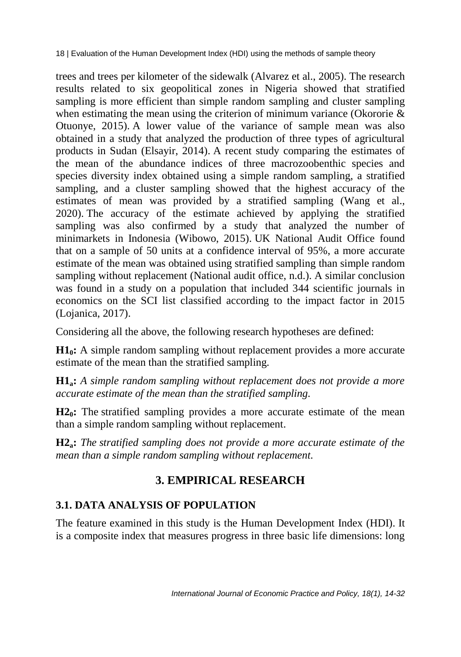trees and trees per kilometer of the sidewalk (Alvarez et al., 2005). The research results related to six geopolitical zones in Nigeria showed that stratified sampling is more efficient than simple random sampling and cluster sampling when estimating the mean using the criterion of minimum variance (Okororie & Otuonye, 2015). A lower value of the variance of sample mean was also obtained in a study that analyzed the production of three types of agricultural products in Sudan (Elsayir, 2014). A recent study comparing the estimates of the mean of the abundance indices of three macrozoobenthic species and species diversity index obtained using a simple random sampling, a stratified sampling, and a cluster sampling showed that the highest accuracy of the estimates of mean was provided by a stratified sampling (Wang et al., 2020). The accuracy of the estimate achieved by applying the stratified sampling was also confirmed by a study that analyzed the number of minimarkets in Indonesia (Wibowo, 2015). UK National Audit Office found that on a sample of 50 units at a confidence interval of 95%, a more accurate estimate of the mean was obtained using stratified sampling than simple random sampling without replacement (National audit office, n.d.). A similar conclusion was found in a study on a population that included 344 scientific journals in economics on the SCI list classified according to the impact factor in 2015 (Lojanica, 2017).

Considering all the above, the following research hypotheses are defined:

**H10:** A simple random sampling without replacement provides a more accurate estimate of the mean than the stratified sampling.

**H1a:** *A simple random sampling without replacement does not provide a more accurate estimate of the mean than the stratified sampling.*

**H20:** The stratified sampling provides a more accurate estimate of the mean than a simple random sampling without replacement.

**H2a:** *The stratified sampling does not provide a more accurate estimate of the mean than a simple random sampling without replacement.*

# **3. EMPIRICAL RESEARCH**

# **3.1. DATA ANALYSIS OF POPULATION**

The feature examined in this study is the Human Development Index (HDI). It is a composite index that measures progress in three basic life dimensions: long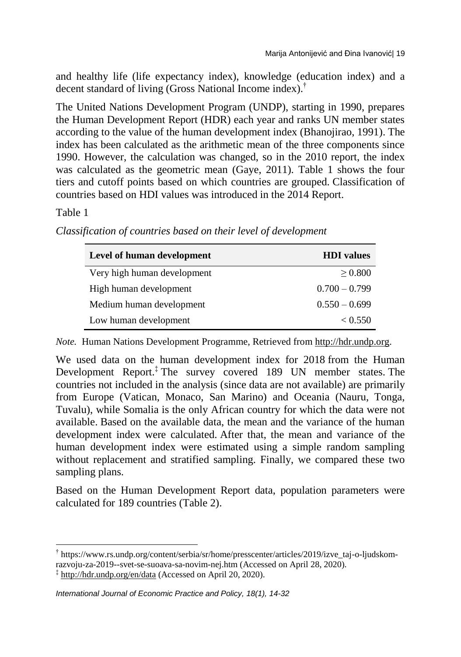and healthy life (life expectancy index), knowledge (education index) and a decent standard of living (Gross National Income index). †

The United Nations Development Program (UNDP), starting in 1990, prepares the Human Development Report (HDR) each year and ranks UN member states according to the value of the human development index (Bhanojirao, 1991). The index has been calculated as the arithmetic mean of the three components since 1990. However, the calculation was changed, so in the 2010 report, the index was calculated as the geometric mean (Gaye, 2011). Table 1 shows the four tiers and cutoff points based on which countries are grouped. Classification of countries based on HDI values was introduced in the 2014 Report.

## Table 1

| Level of human development  | <b>HDI</b> values |
|-----------------------------|-------------------|
| Very high human development | > 0.800           |
| High human development      | $0.700 - 0.799$   |
| Medium human development    | $0.550 - 0.699$   |
| Low human development       | < 0.550           |

*Classification of countries based on their level of development*

*Note.* Human Nations Development Programme, Retrieved from [http://hdr.undp.org.](http://hdr.undp.org/sites/default/files/hdr2020_technical_notes.pdf)

We used data on the human development index for 2018 from the Human Development Report.‡ The survey covered 189 UN member states. The countries not included in the analysis (since data are not available) are primarily from Europe (Vatican, Monaco, San Marino) and Oceania (Nauru, Tonga, Tuvalu), while Somalia is the only African country for which the data were not available. Based on the available data, the mean and the variance of the human development index were calculated. After that, the mean and variance of the human development index were estimated using a simple random sampling without replacement and stratified sampling. Finally, we compared these two sampling plans.

Based on the Human Development Report data, population parameters were calculated for 189 countries (Table 2).

 $\overline{\phantom{a}}$ † https://www.rs.undp.org/content/serbia/sr/home/presscenter/articles/2019/izve\_taj-o-ljudskom-

razvoju-za-2019--svet-se-suoava-sa-novim-nej.htm (Accessed on April 28, 2020).

 $\frac{1}{2}$  <http://hdr.undp.org/en/data> (Accessed on April 20, 2020).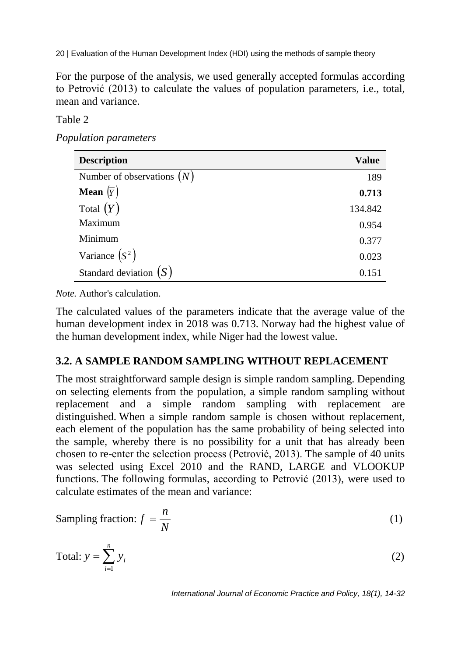For the purpose of the analysis, we used generally accepted formulas according to Petrović (2013) to calculate the values of population parameters, i.e., total, mean and variance.

### Table 2

*Population parameters*

| <b>Description</b>           | <b>Value</b> |
|------------------------------|--------------|
| Number of observations $(N)$ | 189          |
| <b>Mean</b> $(\overline{Y})$ | 0.713        |
| Total $(Y)$                  | 134.842      |
| Maximum                      | 0.954        |
| Minimum                      | 0.377        |
| Variance $(S^2)$             | 0.023        |
| Standard deviation $(S)$     | 0.151        |

*Note.* Author's calculation.

The calculated values of the parameters indicate that the average value of the human development index in 2018 was 0.713. Norway had the highest value of the human development index, while Niger had the lowest value.

# **3.2. A SAMPLE RANDOM SAMPLING WITHOUT REPLACEMENT**

The most straightforward sample design is simple random sampling. Depending on selecting elements from the population, a simple random sampling without replacement and a simple random sampling with replacement are distinguished. When a simple random sample is chosen without replacement, each element of the population has the same probability of being selected into the sample, whereby there is no possibility for a unit that has already been chosen to re-enter the selection process (Petrović, 2013). The sample of 40 units was selected using Excel 2010 and the RAND, LARGE and VLOOKUP functions. The following formulas, according to Petrović (2013), were used to calculate estimates of the mean and variance:

Sampling fraction: 
$$
f = \frac{n}{N}
$$
 (1)

$$
Total: y = \sum_{i=1}^{n} y_i
$$
 (2)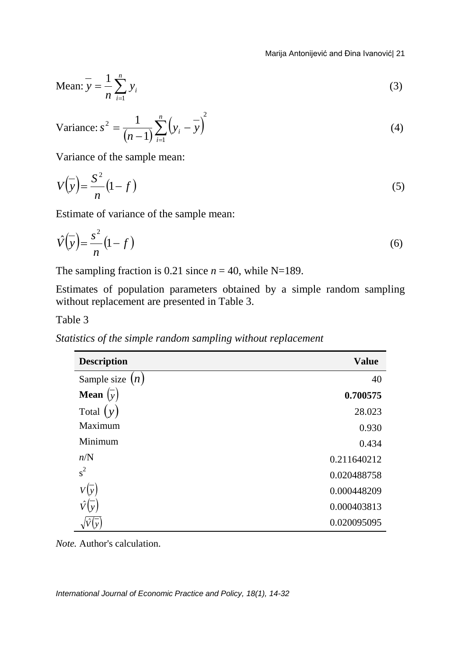Marija Antonijević and Đina Ivanović| 21

Mean: 
$$
y = \frac{1}{n} \sum_{i=1}^{n} y_i
$$
 (3)

Variance: 
$$
s^2 = \frac{1}{(n-1)} \sum_{i=1}^{n} (y_i - \overline{y})^2
$$
 (4)

Variance of the sample mean:

$$
V\left(\overline{y}\right) = \frac{S^2}{n} \left(1 - f\right) \tag{5}
$$

Estimate of variance of the sample mean:

$$
\hat{V}\left(\overline{y}\right) = \frac{s^2}{n}\left(1 - f\right) \tag{6}
$$

The sampling fraction is 0.21 since  $n = 40$ , while N=189.

Estimates of population parameters obtained by a simple random sampling without replacement are presented in Table 3.

Table 3

| <b>Description</b>                      | <b>Value</b> |
|-----------------------------------------|--------------|
| Sample size $(n)$                       | 40           |
| <b>Mean</b> $\left(\overline{y}\right)$ | 0.700575     |
| Total $(y)$                             | 28.023       |
| Maximum                                 | 0.930        |
| Minimum                                 | 0.434        |
| n/N                                     | 0.211640212  |
| $s^2$                                   | 0.020488758  |
| V(y)                                    | 0.000448209  |
|                                         | 0.000403813  |
|                                         | 0.020095095  |

*Statistics of the simple random sampling without replacement* 

*Note.* Author's calculation.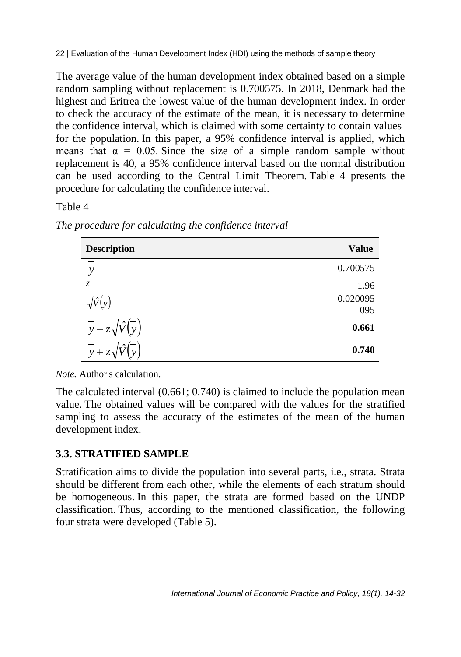The average value of the human development index obtained based on a simple random sampling without replacement is 0.700575. In 2018, Denmark had the highest and Eritrea the lowest value of the human development index. In order to check the accuracy of the estimate of the mean, it is necessary to determine the confidence interval, which is claimed with some certainty to contain values for the population. In this paper, a 95% confidence interval is applied, which means that  $\alpha = 0.05$ . Since the size of a simple random sample without replacement is 40, a 95% confidence interval based on the normal distribution can be used according to the Central Limit Theorem. Table 4 presents the procedure for calculating the confidence interval.

### Table 4

| <b>Description</b>                  | <b>Value</b>    |
|-------------------------------------|-----------------|
| $\mathcal{Y}$                       | 0.700575        |
| $\mathcal{Z}$                       | 1.96            |
| $\mathbf{v}$                        | 0.020095<br>095 |
| $\overline{y} - z\sqrt{\hat{V}(y)}$ | 0.661           |
| $y + z_1$                           | 0.740           |

*The procedure for calculating the confidence interval*

*Note.* Author's calculation.

The calculated interval (0.661; 0.740) is claimed to include the population mean value. The obtained values will be compared with the values for the stratified sampling to assess the accuracy of the estimates of the mean of the human development index.

# **3.3. STRATIFIED SAMPLE**

Stratification aims to divide the population into several parts, i.e., strata. Strata should be different from each other, while the elements of each stratum should be homogeneous. In this paper, the strata are formed based on the UNDP classification. Thus, according to the mentioned classification, the following four strata were developed (Table 5).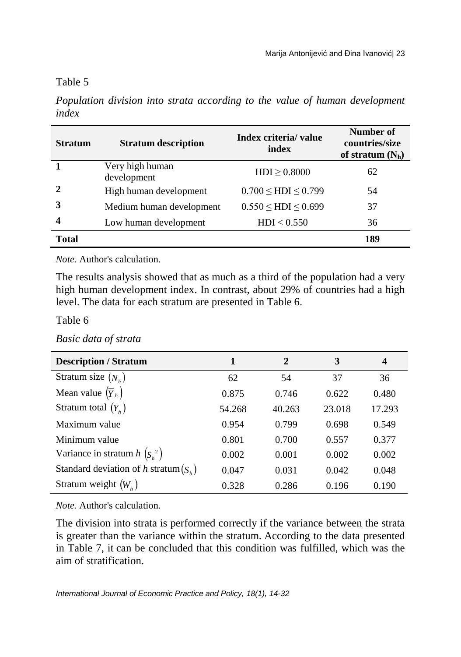#### Table 5

*Population division into strata according to the value of human development index*

| <b>Stratum</b> | <b>Stratum description</b>     | Index criteria/ value<br>index | Number of<br>countries/size<br>of stratum $(N_h)$ |
|----------------|--------------------------------|--------------------------------|---------------------------------------------------|
|                | Very high human<br>development | $HDI \geq 0.8000$              | 62                                                |
|                | High human development         | $0.700 \leq HDI \leq 0.799$    | 54                                                |
|                | Medium human development       | $0.550 \leq HDI \leq 0.699$    | 37                                                |
| 4              | Low human development          | HDI < 0.550                    | 36                                                |
| Total          |                                |                                | 189                                               |

*Note.* Author's calculation.

The results analysis showed that as much as a third of the population had a very high human development index. In contrast, about 29% of countries had a high level. The data for each stratum are presented in Table 6.

Table 6

*Basic data of strata*

| <b>Description / Stratum</b>              | 1      | $\mathbf{2}$ | 3      | $\boldsymbol{4}$ |
|-------------------------------------------|--------|--------------|--------|------------------|
| Stratum size $(N_h)$                      | 62     | 54           | 37     | 36               |
| Mean value $(\overline{Y}_h)$             | 0.875  | 0.746        | 0.622  | 0.480            |
| Stratum total $(Y_{\mu})$                 | 54.268 | 40.263       | 23.018 | 17.293           |
| Maximum value                             | 0.954  | 0.799        | 0.698  | 0.549            |
| Minimum value                             | 0.801  | 0.700        | 0.557  | 0.377            |
| Variance in stratum $h\left(S_h^2\right)$ | 0.002  | 0.001        | 0.002  | 0.002            |
| Standard deviation of h stratum $(S_n)$   | 0.047  | 0.031        | 0.042  | 0.048            |
| Stratum weight $(W_h)$                    | 0.328  | 0.286        | 0.196  | 0.190            |

*Note.* Author's calculation.

The division into strata is performed correctly if the variance between the strata is greater than the variance within the stratum. According to the data presented in Table 7, it can be concluded that this condition was fulfilled, which was the aim of stratification.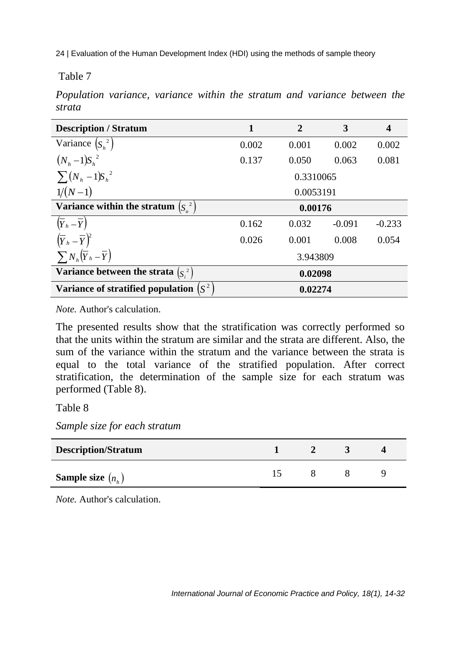Table 7

*Population variance, variance within the stratum and variance between the strata*

| <b>Description / Stratum</b>                 | $\mathbf{1}$ | $\overline{2}$ | 3        | $\overline{\mathbf{4}}$ |
|----------------------------------------------|--------------|----------------|----------|-------------------------|
| Variance $(S_h^2)$                           | 0.002        | 0.001          | 0.002    | 0.002                   |
| $(N_h - 1)S_h^2$                             | 0.137        | 0.050          | 0.063    | 0.081                   |
| $\sum (N_h - 1)S_h^2$                        |              | 0.3310065      |          |                         |
| $1/(N-1)$                                    |              | 0.0053191      |          |                         |
| Variance within the stratum $(S_u^2)$        |              | 0.00176        |          |                         |
| $(\overline{Y}_h-\overline{Y})$              | 0.162        | 0.032          | $-0.091$ | $-0.233$                |
| $(\overline{Y}_h - \overline{Y})^2$          | 0.026        | 0.001          | 0.008    | 0.054                   |
| $\sum N_h (\overline{Y}_h - \overline{Y})$   |              | 3.943809       |          |                         |
| Variance between the strata $(Si2)$          |              | 0.02098        |          |                         |
| Variance of stratified population $\int_S^2$ |              | 0.02274        |          |                         |

*Note.* Author's calculation.

The presented results show that the stratification was correctly performed so that the units within the stratum are similar and the strata are different. Also, the sum of the variance within the stratum and the variance between the strata is equal to the total variance of the stratified population. After correct stratification, the determination of the sample size for each stratum was performed (Table 8).

Table 8

*Sample size for each stratum*

| <b>Description/Stratum</b> |  |  |
|----------------------------|--|--|
| <b>Sample size</b> $(n_h)$ |  |  |

*Note.* Author's calculation.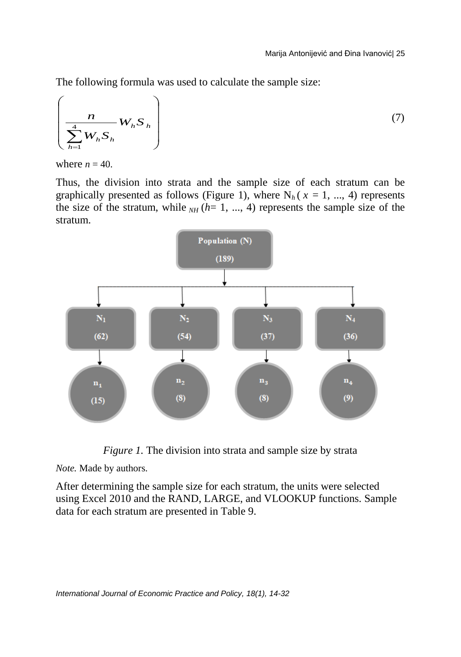The following formula was used to calculate the sample size:

$$
\left(\frac{n}{\sum_{h=1}^{4} W_h S_h}\right) \tag{7}
$$

where  $n = 40$ .

Thus, the division into strata and the sample size of each stratum can be graphically presented as follows (Figure 1), where  $N_h$  ( $x = 1, ..., 4$ ) represents the size of the stratum, while  $_{NH}$   $(h=1, ..., 4)$  represents the sample size of the stratum.



*Figure 1*. The division into strata and sample size by strata

*Note.* Made by authors.

After determining the sample size for each stratum, the units were selected using Excel 2010 and the RAND, LARGE, and VLOOKUP functions. Sample data for each stratum are presented in Table 9.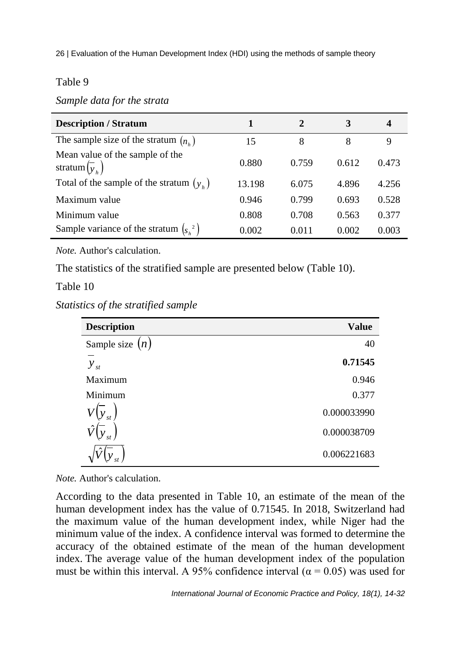#### Table 9

*Sample data for the strata*

| <b>Description / Stratum</b>                                             | 1      | 2     | 3     | 4     |
|--------------------------------------------------------------------------|--------|-------|-------|-------|
| The sample size of the stratum $(n_k)$                                   | 15     | 8     | 8     | 9     |
| Mean value of the sample of the<br>stratum $\left(\overline{y}_k\right)$ | 0.880  | 0.759 | 0.612 | 0.473 |
| Total of the sample of the stratum $(yh)$                                | 13.198 | 6.075 | 4.896 | 4.256 |
| Maximum value                                                            | 0.946  | 0.799 | 0.693 | 0.528 |
| Minimum value                                                            | 0.808  | 0.708 | 0.563 | 0.377 |
| Sample variance of the stratum $(s_{k}^{2})$                             | 0.002  | 0.011 | 0.002 | 0.003 |

*Note.* Author's calculation.

The statistics of the stratified sample are presented below (Table 10).

### Table 10

*Statistics of the stratified sample*

| <b>Description</b> | Value       |
|--------------------|-------------|
| Sample size $(n)$  | 40          |
| $y_{st}$           | 0.71545     |
| Maximum            | 0.946       |
| Minimum            | 0.377       |
| st                 | 0.000033990 |
| $st$ .             | 0.000038709 |
|                    | 0.006221683 |

*Note.* Author's calculation.

According to the data presented in Table 10, an estimate of the mean of the human development index has the value of 0.71545. In 2018, Switzerland had the maximum value of the human development index, while Niger had the minimum value of the index. A confidence interval was formed to determine the accuracy of the obtained estimate of the mean of the human development index. The average value of the human development index of the population must be within this interval. A 95% confidence interval ( $\alpha$  = 0.05) was used for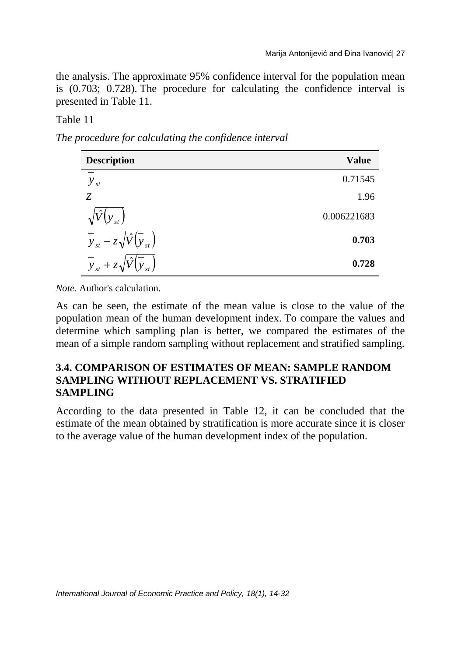the analysis. The approximate 95% confidence interval for the population mean is (0.703; 0.728). The procedure for calculating the confidence interval is presented in Table 11.

## Table 11

*The procedure for calculating the confidence interval*

| <b>Description</b>                                                | <b>Value</b> |
|-------------------------------------------------------------------|--------------|
| $y_{st}$                                                          | 0.71545      |
| Z                                                                 | 1.96         |
| $(y_{st})$                                                        | 0.006221683  |
| $\overline{y}_{st} - z\sqrt{\hat{V}(y_{st})}$                     | 0.703        |
| $\cdot$ $\wedge$ $\cdot$<br>$\overline{y}_{st} + z\sqrt{\hat{V}}$ | 0.728        |

*Note.* Author's calculation.

As can be seen, the estimate of the mean value is close to the value of the population mean of the human development index. To compare the values and determine which sampling plan is better, we compared the estimates of the mean of a simple random sampling without replacement and stratified sampling.

### **3.4. COMPARISON OF ESTIMATES OF MEAN: SAMPLE RANDOM SAMPLING WITHOUT REPLACEMENT VS. STRATIFIED SAMPLING**

According to the data presented in Table 12, it can be concluded that the estimate of the mean obtained by stratification is more accurate since it is closer to the average value of the human development index of the population.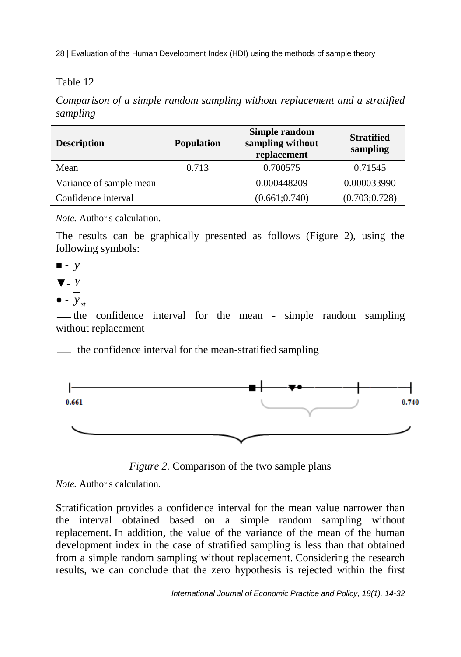## Table 12

*Comparison of a simple random sampling without replacement and a stratified sampling*

| <b>Description</b>      | <b>Population</b> | Simple random<br>sampling without<br>replacement | <b>Stratified</b><br>sampling |
|-------------------------|-------------------|--------------------------------------------------|-------------------------------|
| Mean                    | 0.713             | 0.700575                                         | 0.71545                       |
| Variance of sample mean |                   | 0.000448209                                      | 0.000033990                   |
| Confidence interval     |                   | (0.661; 0.740)                                   | (0.703; 0.728)                |

*Note.* Author's calculation.

The results can be graphically presented as follows (Figure 2), using the following symbols:

- - *y*
- ▼- *Y*
- $\bullet$   $y_{st}$

the confidence interval for the mean - simple random sampling without replacement

the confidence interval for the mean-stratified sampling



*Figure 2.* Comparison of the two sample plans

*Note.* Author's calculation.

Stratification provides a confidence interval for the mean value narrower than the interval obtained based on a simple random sampling without replacement. In addition, the value of the variance of the mean of the human development index in the case of stratified sampling is less than that obtained from a simple random sampling without replacement. Considering the research results, we can conclude that the zero hypothesis is rejected within the first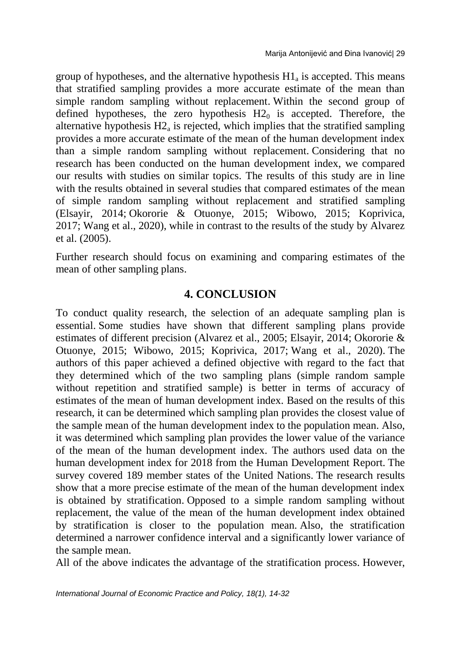group of hypotheses, and the alternative hypothesis  $H1_a$  is accepted. This means that stratified sampling provides a more accurate estimate of the mean than simple random sampling without replacement. Within the second group of defined hypotheses, the zero hypothesis  $H2<sub>0</sub>$  is accepted. Therefore, the alternative hypothesis  $H2_a$  is rejected, which implies that the stratified sampling provides a more accurate estimate of the mean of the human development index than a simple random sampling without replacement. Considering that no research has been conducted on the human development index, we compared our results with studies on similar topics. The results of this study are in line with the results obtained in several studies that compared estimates of the mean of simple random sampling without replacement and stratified sampling (Elsayir, 2014; Okororie & Otuonye, 2015; Wibowo, 2015; Koprivica, 2017; Wang et al., 2020), while in contrast to the results of the study by Alvarez et al. (2005).

Further research should focus on examining and comparing estimates of the mean of other sampling plans.

# **4. CONCLUSION**

To conduct quality research, the selection of an adequate sampling plan is essential. Some studies have shown that different sampling plans provide estimates of different precision (Alvarez et al., 2005; Elsayir, 2014; Okororie & Otuonye, 2015; Wibowo, 2015; Koprivica, 2017; Wang et al., 2020). The authors of this paper achieved a defined objective with regard to the fact that they determined which of the two sampling plans (simple random sample without repetition and stratified sample) is better in terms of accuracy of estimates of the mean of human development index. Based on the results of this research, it can be determined which sampling plan provides the closest value of the sample mean of the human development index to the population mean. Also, it was determined which sampling plan provides the lower value of the variance of the mean of the human development index. The authors used data on the human development index for 2018 from the Human Development Report. The survey covered 189 member states of the United Nations. The research results show that a more precise estimate of the mean of the human development index is obtained by stratification. Opposed to a simple random sampling without replacement, the value of the mean of the human development index obtained by stratification is closer to the population mean. Also, the stratification determined a narrower confidence interval and a significantly lower variance of the sample mean.

All of the above indicates the advantage of the stratification process. However,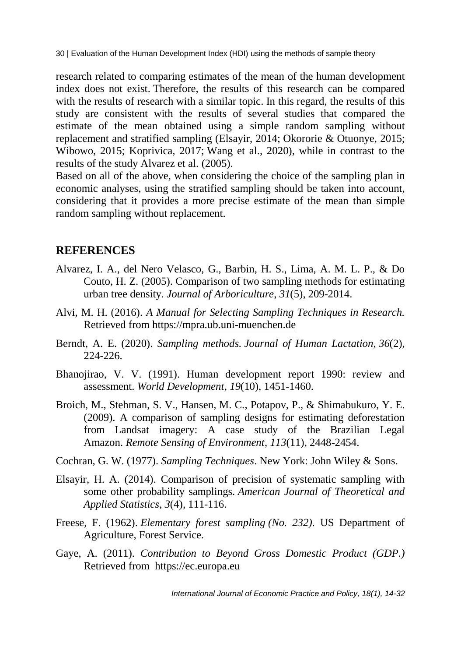research related to comparing estimates of the mean of the human development index does not exist. Therefore, the results of this research can be compared with the results of research with a similar topic. In this regard, the results of this study are consistent with the results of several studies that compared the estimate of the mean obtained using a simple random sampling without replacement and stratified sampling (Elsayir, 2014; Okororie & Otuonye, 2015; Wibowo, 2015; Koprivica, 2017; Wang et al., 2020), while in contrast to the results of the study Alvarez et al. (2005).

Based on all of the above, when considering the choice of the sampling plan in economic analyses, using the stratified sampling should be taken into account, considering that it provides a more precise estimate of the mean than simple random sampling without replacement.

## **REFERENCES**

- Alvarez, I. A., del Nero Velasco, G., Barbin, H. S., Lima, A. M. L. P., & Do Couto, H. Z. (2005). Comparison of two sampling methods for estimating urban tree density. *Journal of Arboriculture*, *31*(5), 209-2014.
- Alvi, M. H. (2016). *A Manual for Selecting Sampling Techniques in Research.* Retrieved from [https://mpra.ub.uni-muenchen.de](https://mpra.ub.uni-muenchen.de/70218/)
- Berndt, A. E. (2020). *Sampling methods. Journal of Human Lactation*, *36*(2), 224-226.
- Bhanojirao, V. V. (1991). Human development report 1990: review and assessment. *World Development*, *19*(10), 1451-1460.
- Broich, M., Stehman, S. V., Hansen, M. C., Potapov, P., & Shimabukuro, Y. E. (2009). A comparison of sampling designs for estimating deforestation from Landsat imagery: A case study of the Brazilian Legal Amazon. *Remote Sensing of Environment*, *113*(11), 2448-2454.
- Cochran, G. W. (1977). *Sampling Techniques*. New York: John Wiley & Sons.
- Elsayir, H. A. (2014). Comparison of precision of systematic sampling with some other probability samplings. *American Journal of Theoretical and Applied Statistics*, *3*(4), 111-116.
- Freese, F. (1962). *Elementary forest sampling (No. 232)*. US Department of Agriculture, Forest Service.
- Gaye, A. (2011). *Contribution to Beyond Gross Domestic Product (GDP.)* Retrieved from [https://ec.europa.eu](https://ec.europa.eu/environment/beyond_gdp/download/factsheets/bgdp-ve-hdi.pdf)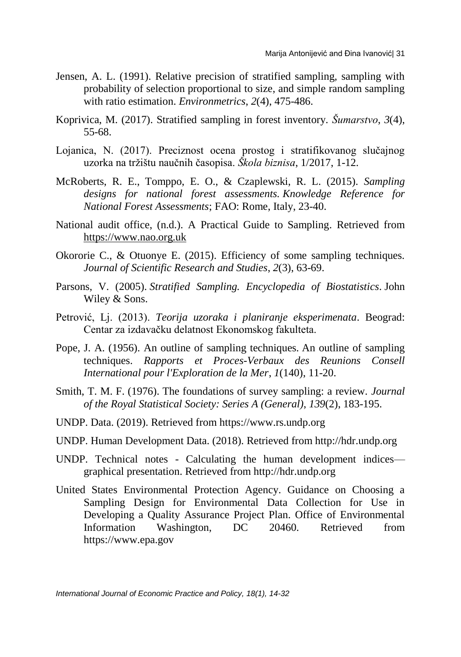- Jensen, A. L. (1991). Relative precision of stratified sampling, sampling with probability of selection proportional to size, and simple random sampling with ratio estimation. *Environmetrics*, *2*(4), 475-486.
- Koprivica, M. (2017). Stratified sampling in forest inventory. *Šumarstvo*, *3*(4), 55-68.
- Lojanica, N. (2017). Preciznost ocena prostog i stratifikovanog slučajnog uzorka na tržištu naučnih časopisa. *Škola biznisa*, 1/2017, 1-12.
- McRoberts, R. E., Tomppo, E. O., & Czaplewski, R. L. (2015). *Sampling designs for national forest assessments. Knowledge Reference for National Forest Assessments*; FAO: Rome, Italy, 23-40.
- National audit office, (n.d.). A Practical Guide to Sampling. Retrieved from [https://www.nao.org.uk](https://www.nao.org.uk/wp-content/uploads/2001/06/SamplingGuide.pdf)
- Okororie C., & Otuonye E. (2015). Efficiency of some sampling techniques. *Journal of Scientific Research and Studies*, *2*(3), 63-69.
- Parsons, V. (2005). *Stratified Sampling. Encyclopedia of Biostatistics*. John Wiley & Sons.
- Petrović, Lj. (2013). *Teorija uzoraka i planiranje eksperimenata*. Beograd: Centar za izdavačku delatnost Ekonomskog fakulteta.
- Pope, J. A. (1956). An outline of sampling techniques. An outline of sampling techniques. *Rapports et Proces-Verbaux des Reunions Consell International pour l'Exploration de la Mer*, *1*(140), 11-20.
- Smith, T. M. F. (1976). The foundations of survey sampling: a review. *Journal of the Royal Statistical Society: Series A (General)*, *139*(2), 183-195.
- UNDP. Data. (2019). Retrieved from [https://www.rs.undp.org](https://www.rs.undp.org/content/serbia/sr/home/presscenter/articles/2019/izve_taj-o-ljudskom-razvoju-za-2019--svet-se-suoava-sa-novim-nej.html)
- UNDP. Human Development Data. (2018). Retrieved from [http://hdr.undp.org](http://hdr.undp.org/en/data)
- UNDP. Technical notes Calculating the human development indices graphical presentation. Retrieved from [http://hdr.undp.org](http://hdr.undp.org/sites/default/files/hdr2019_technical_notes.pdf)
- United States Environmental Protection Agency. Guidance on Choosing a Sampling Design for Environmental Data Collection for Use in Developing a Quality Assurance Project Plan. Office of Environmental Information Washington, DC 20460. Retrieved from [https://www.epa.gov](https://www.epa.gov/sites/production/files/2015-06/documents/g5s-final.pdf%20)